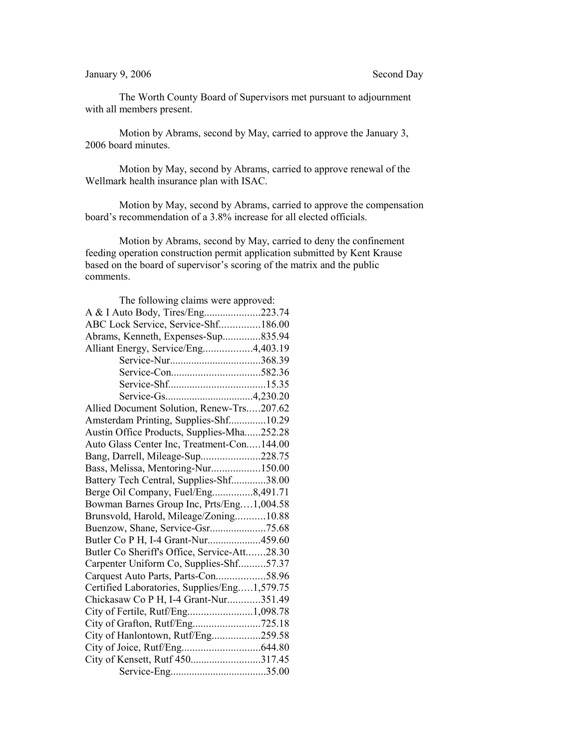## January 9, 2006 Second Day

The Worth County Board of Supervisors met pursuant to adjournment with all members present.

Motion by Abrams, second by May, carried to approve the January 3, 2006 board minutes.

Motion by May, second by Abrams, carried to approve renewal of the Wellmark health insurance plan with ISAC.

Motion by May, second by Abrams, carried to approve the compensation board's recommendation of a 3.8% increase for all elected officials.

Motion by Abrams, second by May, carried to deny the confinement feeding operation construction permit application submitted by Kent Krause based on the board of supervisor's scoring of the matrix and the public comments.

| The following claims were approved:          |  |
|----------------------------------------------|--|
| A & I Auto Body, Tires/Eng223.74             |  |
| ABC Lock Service, Service-Shf186.00          |  |
| Abrams, Kenneth, Expenses-Sup835.94          |  |
| Alliant Energy, Service/Eng4,403.19          |  |
| Service-Nur368.39                            |  |
|                                              |  |
|                                              |  |
|                                              |  |
| Allied Document Solution, Renew-Trs207.62    |  |
| Amsterdam Printing, Supplies-Shf10.29        |  |
| Austin Office Products, Supplies-Mha252.28   |  |
| Auto Glass Center Inc, Treatment-Con144.00   |  |
| Bang, Darrell, Mileage-Sup228.75             |  |
| Bass, Melissa, Mentoring-Nur150.00           |  |
| Battery Tech Central, Supplies-Shf38.00      |  |
| Berge Oil Company, Fuel/Eng8,491.71          |  |
| Bowman Barnes Group Inc, Prts/Eng1,004.58    |  |
| Brunsvold, Harold, Mileage/Zoning10.88       |  |
| Buenzow, Shane, Service-Gsr75.68             |  |
| Butler Co P H, I-4 Grant-Nur459.60           |  |
| Butler Co Sheriff's Office, Service-Att28.30 |  |
| Carpenter Uniform Co, Supplies-Shf57.37      |  |
| Carquest Auto Parts, Parts-Con58.96          |  |
| Certified Laboratories, Supplies/Eng1,579.75 |  |
| Chickasaw Co P H, I-4 Grant-Nur351.49        |  |
| City of Fertile, Rutf/Eng1,098.78            |  |
|                                              |  |
| City of Hanlontown, Rutf/Eng259.58           |  |
|                                              |  |
| City of Kensett, Rutf 450317.45              |  |
|                                              |  |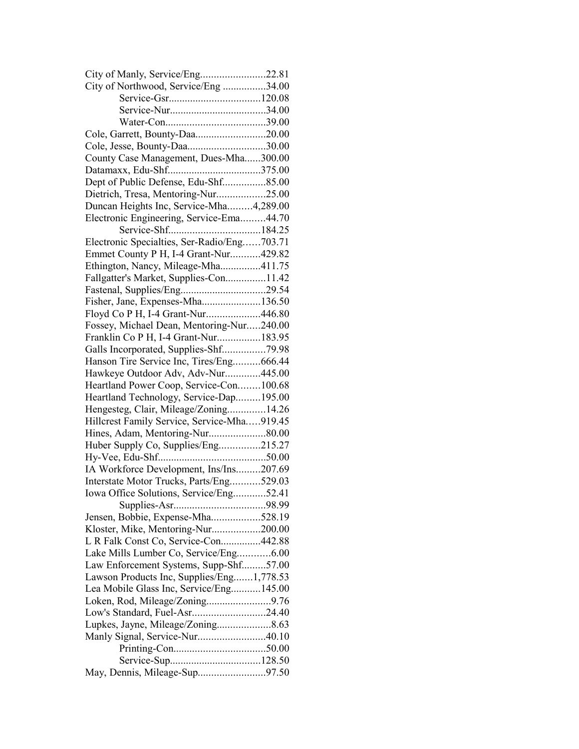| City of Manly, Service/Eng22.81             |  |
|---------------------------------------------|--|
| City of Northwood, Service/Eng34.00         |  |
|                                             |  |
|                                             |  |
|                                             |  |
| Cole, Garrett, Bounty-Daa20.00              |  |
| Cole, Jesse, Bounty-Daa30.00                |  |
| County Case Management, Dues-Mha300.00      |  |
|                                             |  |
| Dept of Public Defense, Edu-Shf85.00        |  |
| Dietrich, Tresa, Mentoring-Nur25.00         |  |
| Duncan Heights Inc, Service-Mha4,289.00     |  |
| Electronic Engineering, Service-Ema44.70    |  |
|                                             |  |
| Electronic Specialties, Ser-Radio/Eng703.71 |  |
| Emmet County P H, I-4 Grant-Nur429.82       |  |
| Ethington, Nancy, Mileage-Mha411.75         |  |
| Fallgatter's Market, Supplies-Con11.42      |  |
| Fastenal, Supplies/Eng29.54                 |  |
| Fisher, Jane, Expenses-Mha136.50            |  |
| Floyd Co P H, I-4 Grant-Nur446.80           |  |
| Fossey, Michael Dean, Mentoring-Nur240.00   |  |
| Franklin Co P H, I-4 Grant-Nur183.95        |  |
| Galls Incorporated, Supplies-Shf79.98       |  |
| Hanson Tire Service Inc, Tires/Eng666.44    |  |
| Hawkeye Outdoor Adv, Adv-Nur445.00          |  |
| Heartland Power Coop, Service-Con100.68     |  |
| Heartland Technology, Service-Dap195.00     |  |
|                                             |  |
| Hengesteg, Clair, Mileage/Zoning14.26       |  |
| Hillcrest Family Service, Service-Mha919.45 |  |
| Hines, Adam, Mentoring-Nur80.00             |  |
| Huber Supply Co, Supplies/Eng215.27         |  |
|                                             |  |
| IA Workforce Development, Ins/Ins207.69     |  |
| Interstate Motor Trucks, Parts/Eng529.03    |  |
| Iowa Office Solutions, Service/Eng52.41     |  |
|                                             |  |
| Jensen, Bobbie, Expense-Mha528.19           |  |
| Kloster, Mike, Mentoring-Nur200.00          |  |
| L R Falk Const Co, Service-Con442.88        |  |
| Lake Mills Lumber Co, Service/Eng6.00       |  |
| Law Enforcement Systems, Supp-Shf57.00      |  |
| Lawson Products Inc, Supplies/Eng1,778.53   |  |
| Lea Mobile Glass Inc, Service/Eng145.00     |  |
| Loken, Rod, Mileage/Zoning9.76              |  |
| Low's Standard, Fuel-Asr24.40               |  |
| Lupkes, Jayne, Mileage/Zoning8.63           |  |
| Manly Signal, Service-Nur40.10              |  |
|                                             |  |
|                                             |  |
| May, Dennis, Mileage-Sup97.50               |  |
|                                             |  |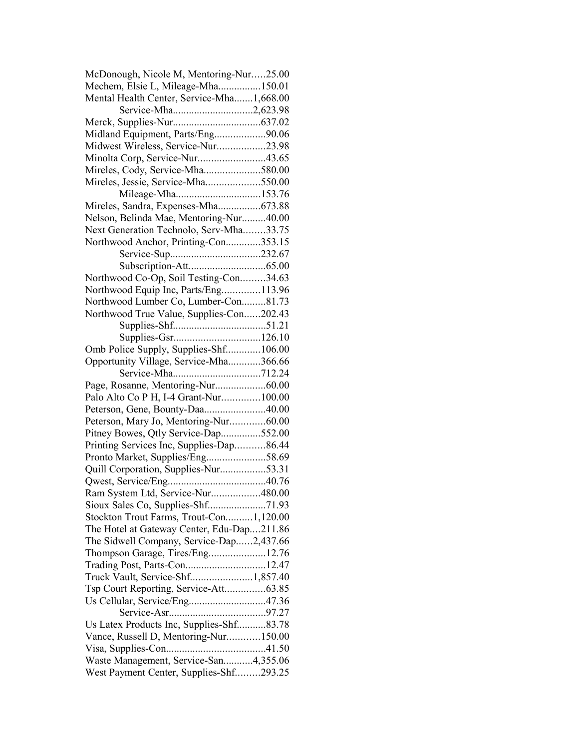| McDonough, Nicole M, Mentoring-Nur25.00                                  |  |
|--------------------------------------------------------------------------|--|
| Mechem, Elsie L, Mileage-Mha150.01                                       |  |
| Mental Health Center, Service-Mha1,668.00                                |  |
| Service-Mha2,623.98                                                      |  |
|                                                                          |  |
| Midland Equipment, Parts/Eng90.06                                        |  |
| Midwest Wireless, Service-Nur23.98                                       |  |
| Minolta Corp, Service-Nur43.65                                           |  |
| Mireles, Cody, Service-Mha580.00                                         |  |
| Mireles, Jessie, Service-Mha550.00                                       |  |
| Mileage-Mha153.76                                                        |  |
| Mireles, Sandra, Expenses-Mha673.88                                      |  |
| Nelson, Belinda Mae, Mentoring-Nur40.00                                  |  |
| Next Generation Technolo, Serv-Mha33.75                                  |  |
| Northwood Anchor, Printing-Con353.15                                     |  |
|                                                                          |  |
|                                                                          |  |
| Northwood Co-Op, Soil Testing-Con34.63                                   |  |
| Northwood Equip Inc, Parts/Eng113.96                                     |  |
| Northwood Lumber Co, Lumber-Con81.73                                     |  |
| Northwood True Value, Supplies-Con202.43                                 |  |
|                                                                          |  |
|                                                                          |  |
| Omb Police Supply, Supplies-Shf106.00                                    |  |
| Opportunity Village, Service-Mha366.66                                   |  |
|                                                                          |  |
| Page, Rosanne, Mentoring-Nur60.00                                        |  |
| Palo Alto Co P H, I-4 Grant-Nur100.00                                    |  |
| Peterson, Gene, Bounty-Daa40.00                                          |  |
| Peterson, Mary Jo, Mentoring-Nur60.00                                    |  |
| Pitney Bowes, Qtly Service-Dap552.00                                     |  |
| Printing Services Inc, Supplies-Dap86.44                                 |  |
|                                                                          |  |
| Pronto Market, Supplies/Eng58.69<br>Quill Corporation, Supplies-Nur53.31 |  |
|                                                                          |  |
|                                                                          |  |
| Ram System Ltd, Service-Nur480.00                                        |  |
| Sioux Sales Co, Supplies-Shf71.93                                        |  |
| Stockton Trout Farms, Trout-Con1,120.00                                  |  |
| The Hotel at Gateway Center, Edu-Dap211.86                               |  |
| The Sidwell Company, Service-Dap2,437.66                                 |  |
| Thompson Garage, Tires/Eng12.76                                          |  |
| Trading Post, Parts-Con12.47                                             |  |
| Truck Vault, Service-Shf1,857.40                                         |  |
| Tsp Court Reporting, Service-Att63.85                                    |  |
|                                                                          |  |
|                                                                          |  |
| Us Latex Products Inc, Supplies-Shf83.78                                 |  |
| Vance, Russell D, Mentoring-Nur150.00                                    |  |
|                                                                          |  |
| Waste Management, Service-San4,355.06                                    |  |
| West Payment Center, Supplies-Shf293.25                                  |  |